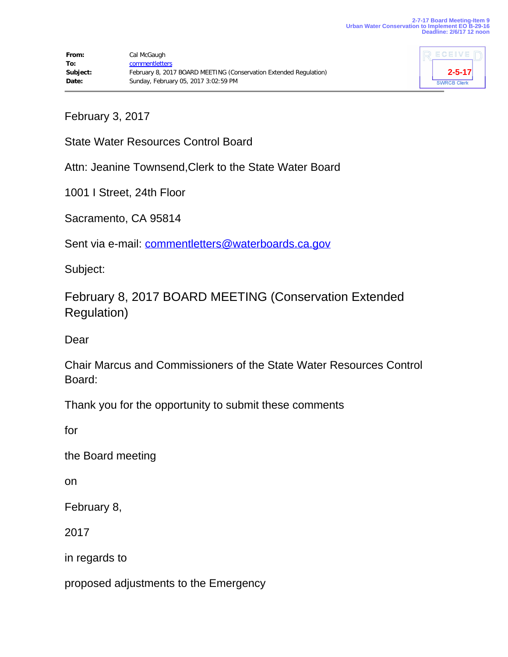

February 3, 2017

State Water Resources Control Board

Attn: Jeanine Townsend,Clerk to the State Water Board

1001 I Street, 24th Floor

Sacramento, CA 95814

Sent via e-mail: [commentletters@waterboards.ca.gov](mailto:commentletters@waterboards.ca.gov)

Subject:

February 8, 2017 BOARD MEETING (Conservation Extended Regulation)

Dear

Chair Marcus and Commissioners of the State Water Resources Control Board:

Thank you for the opportunity to submit these comments

for

the Board meeting

on

February 8,

2017

in regards to

proposed adjustments to the Emergency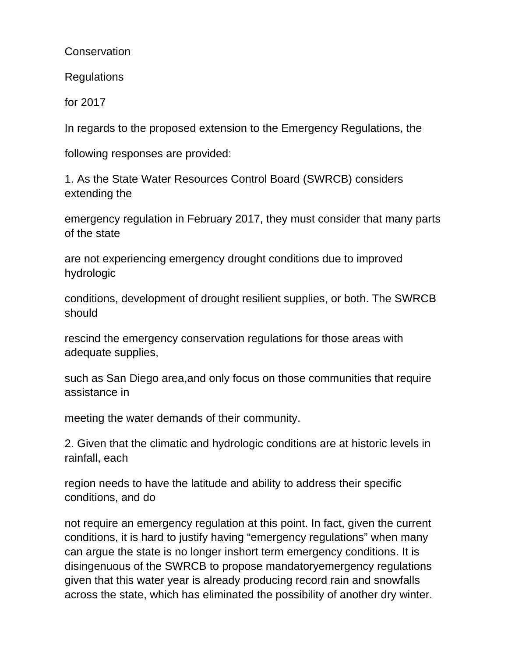**Conservation** 

Regulations

for 2017

In regards to the proposed extension to the Emergency Regulations, the

following responses are provided:

1. As the State Water Resources Control Board (SWRCB) considers extending the

emergency regulation in February 2017, they must consider that many parts of the state

are not experiencing emergency drought conditions due to improved hydrologic

conditions, development of drought resilient supplies, or both. The SWRCB should

rescind the emergency conservation regulations for those areas with adequate supplies,

such as San Diego area,and only focus on those communities that require assistance in

meeting the water demands of their community.

2. Given that the climatic and hydrologic conditions are at historic levels in rainfall, each

region needs to have the latitude and ability to address their specific conditions, and do

not require an emergency regulation at this point. In fact, given the current conditions, it is hard to justify having "emergency regulations" when many can argue the state is no longer inshort term emergency conditions. It is disingenuous of the SWRCB to propose mandatoryemergency regulations given that this water year is already producing record rain and snowfalls across the state, which has eliminated the possibility of another dry winter.